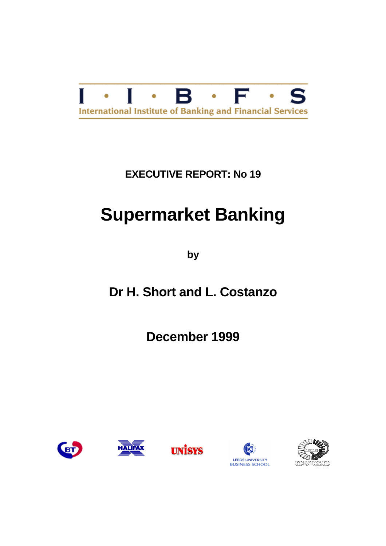

## **EXECUTIVE REPORT: No 19**

# **Supermarket Banking**

**by**

## **Dr H. Short and L. Costanzo**

**December 1999**









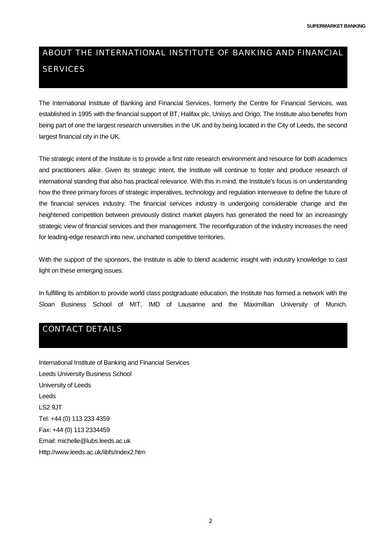## ABOUT THE INTERNATIONAL INSTITUTE OF BANKING AND FINANCIAL **SERVICES**

The International Institute of Banking and Financial Services, formerly the Centre for Financial Services, was established in 1995 with the financial support of BT, Halifax plc, Unisys and Origo. The Institute also benefits from being part of one the largest research universities in the UK and by being located in the City of Leeds, the second largest financial city in the UK.

The strategic intent of the Institute is to provide a first rate research environment and resource for both academics and practitioners alike. Given its strategic intent, the Institute will continue to foster and produce research of international standing that also has practical relevance. With this in mind, the Institute's focus is on understanding how the three primary forces of strategic imperatives, technology and regulation interweave to define the future of the financial services industry. The financial services industry is undergoing considerable change and the heightened competition between previously distinct market players has generated the need for an increasingly strategic view of financial services and their management. The reconfiguration of the industry increases the need for leading-edge research into new, uncharted competitive territories.

With the support of the sponsors, the Institute is able to blend academic insight with industry knowledge to cast light on these emerging issues.

In fulfilling its ambition to provide world class postgraduate education, the Institute has formed a network with the Sloan Business School of MIT, IMD of Lausanne and the Maximillian University of Munich.

## CONTACT DETAILS

International Institute of Banking and Financial Services Leeds University Business School University of Leeds Leeds LS2 9JT Tel: +44 (0) 113 233 4359 Fax: +44 (0) 113 2334459 Email: michelle@lubs.leeds.ac.uk Http://www.leeds.ac.uk/iibfs/index2.htm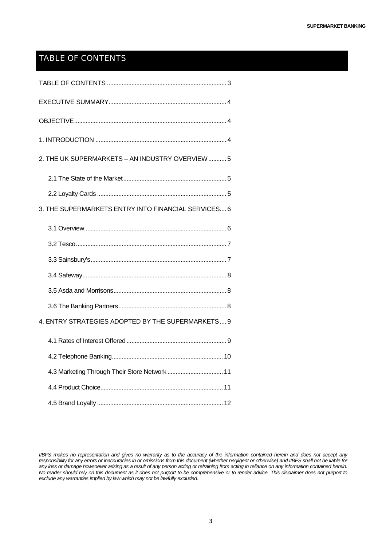## TABLE OF CONTENTS

| 2. THE UK SUPERMARKETS - AN INDUSTRY OVERVIEW  5    |
|-----------------------------------------------------|
|                                                     |
|                                                     |
| 3. THE SUPERMARKETS ENTRY INTO FINANCIAL SERVICES 6 |
|                                                     |
|                                                     |
|                                                     |
|                                                     |
|                                                     |
|                                                     |
| 4. ENTRY STRATEGIES ADOPTED BY THE SUPERMARKETS 9   |
|                                                     |
|                                                     |
| 4.3 Marketing Through Their Store Network  11       |
|                                                     |
|                                                     |

*IIBFS makes no representation and gives no warranty as to the accuracy of the information contained herein and does not accept any responsibility for any errors or inaccuracies in or omissions from this document (whether negligent or otherwise) and IIBFS shall not be liable for any loss or damage howsoever arising as a result of any person acting or refraining from acting in reliance on any information contained herein. No reader should rely on this document as it does not purport to be comprehensive or to render advice. This disclaimer does not purport to exclude any warranties implied by law which may not be lawfully excluded.*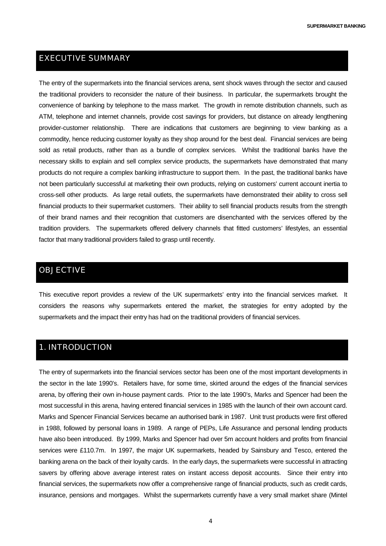### <span id="page-3-0"></span>EXECUTIVE SUMMARY

The entry of the supermarkets into the financial services arena, sent shock waves through the sector and caused the traditional providers to reconsider the nature of their business. In particular, the supermarkets brought the convenience of banking by telephone to the mass market. The growth in remote distribution channels, such as ATM, telephone and internet channels, provide cost savings for providers, but distance on already lengthening provider-customer relationship. There are indications that customers are beginning to view banking as a commodity, hence reducing customer loyalty as they shop around for the best deal. Financial services are being sold as retail products, rather than as a bundle of complex services. Whilst the traditional banks have the necessary skills to explain and sell complex service products, the supermarkets have demonstrated that many products do not require a complex banking infrastructure to support them. In the past, the traditional banks have not been particularly successful at marketing their own products, relying on customers' current account inertia to cross-sell other products. As large retail outlets, the supermarkets have demonstrated their ability to cross sell financial products to their supermarket customers. Their ability to sell financial products results from the strength of their brand names and their recognition that customers are disenchanted with the services offered by the tradition providers. The supermarkets offered delivery channels that fitted customers' lifestyles, an essential factor that many traditional providers failed to grasp until recently.

### OBJECTIVE

This executive report provides a review of the UK supermarkets' entry into the financial services market. It considers the reasons why supermarkets entered the market, the strategies for entry adopted by the supermarkets and the impact their entry has had on the traditional providers of financial services.

### 1. INTRODUCTION

The entry of supermarkets into the financial services sector has been one of the most important developments in the sector in the late 1990's. Retailers have, for some time, skirted around the edges of the financial services arena, by offering their own in-house payment cards. Prior to the late 1990's, Marks and Spencer had been the most successful in this arena, having entered financial services in 1985 with the launch of their own account card. Marks and Spencer Financial Services became an authorised bank in 1987. Unit trust products were first offered in 1988, followed by personal loans in 1989. A range of PEPs, Life Assurance and personal lending products have also been introduced. By 1999, Marks and Spencer had over 5m account holders and profits from financial services were £110.7m. In 1997, the major UK supermarkets, headed by Sainsbury and Tesco, entered the banking arena on the back of their loyalty cards. In the early days, the supermarkets were successful in attracting savers by offering above average interest rates on instant access deposit accounts. Since their entry into financial services, the supermarkets now offer a comprehensive range of financial products, such as credit cards, insurance, pensions and mortgages. Whilst the supermarkets currently have a very small market share (Mintel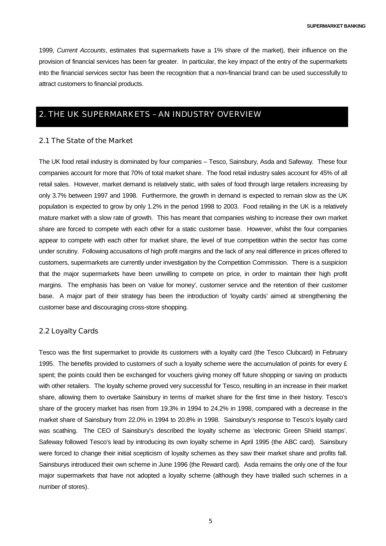<span id="page-4-0"></span>1999, *Current Accounts*, estimates that supermarkets have a 1% share of the market), their influence on the provision of financial services has been far greater. In particular, the key impact of the entry of the supermarkets into the financial services sector has been the recognition that a non-financial brand can be used successfully to attract customers to financial products.

## 2. THE UK SUPERMARKETS – AN INDUSTRY OVERVIEW

#### 2.1 The State of the Market

The UK food retail industry is dominated by four companies – Tesco, Sainsbury, Asda and Safeway. These four companies account for more that 70% of total market share. The food retail industry sales account for 45% of all retail sales. However, market demand is relatively static, with sales of food through large retailers increasing by only 3.7% between 1997 and 1998. Furthermore, the growth in demand is expected to remain slow as the UK population is expected to grow by only 1.2% in the period 1998 to 2003. Food retailing in the UK is a relatively mature market with a slow rate of growth. This has meant that companies wishing to increase their own market share are forced to compete with each other for a static customer base. However, whilst the four companies appear to compete with each other for market share, the level of true competition within the sector has come under scrutiny. Following accusations of high profit margins and the lack of any real difference in prices offered to customers, supermarkets are currently under investigation by the Competition Commission. There is a suspicion that the major supermarkets have been unwilling to compete on price, in order to maintain their high profit margins. The emphasis has been on 'value for money', customer service and the retention of their customer base. A major part of their strategy has been the introduction of 'loyalty cards' aimed at strengthening the customer base and discouraging cross-store shopping.

#### 2.2 Loyalty Cards

Tesco was the first supermarket to provide its customers with a loyalty card (the Tesco Clubcard) in February 1995. The benefits provided to customers of such a loyalty scheme were the accumulation of points for every  $\epsilon$ spent; the points could then be exchanged for vouchers giving money off future shopping or saving on products with other retailers. The loyalty scheme proved very successful for Tesco, resulting in an increase in their market share, allowing them to overtake Sainsbury in terms of market share for the first time in their history. Tesco's share of the grocery market has risen from 19.3% in 1994 to 24.2% in 1998, compared with a decrease in the market share of Sainsbury from 22.0% in 1994 to 20.8% in 1998. Sainsbury's response to Tesco's loyalty card was scathing. The CEO of Sainsbury's described the loyalty scheme as 'electronic Green Shield stamps'. Safeway followed Tesco's lead by introducing its own loyalty scheme in April 1995 (the ABC card). Sainsbury were forced to change their initial scepticism of loyalty schemes as they saw their market share and profits fall. Sainsburys introduced their own scheme in June 1996 (the Reward card). Asda remains the only one of the four major supermarkets that have not adopted a loyalty scheme (although they have trialled such schemes in a number of stores).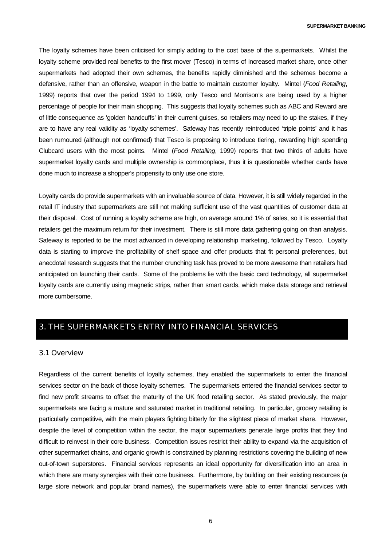**SUPERMARKET BANKING**

<span id="page-5-0"></span>The loyalty schemes have been criticised for simply adding to the cost base of the supermarkets. Whilst the loyalty scheme provided real benefits to the first mover (Tesco) in terms of increased market share, once other supermarkets had adopted their own schemes, the benefits rapidly diminished and the schemes become a defensive, rather than an offensive, weapon in the battle to maintain customer loyalty. Mintel (*Food Retailing*, 1999) reports that over the period 1994 to 1999, only Tesco and Morrison's are being used by a higher percentage of people for their main shopping. This suggests that loyalty schemes such as ABC and Reward are of little consequence as 'golden handcuffs' in their current guises, so retailers may need to up the stakes, if they are to have any real validity as 'loyalty schemes'. Safeway has recently reintroduced 'triple points' and it has been rumoured (although not confirmed) that Tesco is proposing to introduce tiering, rewarding high spending Clubcard users with the most points. Mintel (*Food Retailing*, 1999) reports that two thirds of adults have supermarket loyalty cards and multiple ownership is commonplace, thus it is questionable whether cards have done much to increase a shopper's propensity to only use one store.

Loyalty cards do provide supermarkets with an invaluable source of data. However, it is still widely regarded in the retail IT industry that supermarkets are still not making sufficient use of the vast quantities of customer data at their disposal. Cost of running a loyalty scheme are high, on average around 1% of sales, so it is essential that retailers get the maximum return for their investment. There is still more data gathering going on than analysis. Safeway is reported to be the most advanced in developing relationship marketing, followed by Tesco. Loyalty data is starting to improve the profitability of shelf space and offer products that fit personal preferences, but anecdotal research suggests that the number crunching task has proved to be more awesome than retailers had anticipated on launching their cards. Some of the problems lie with the basic card technology, all supermarket loyalty cards are currently using magnetic strips, rather than smart cards, which make data storage and retrieval more cumbersome.

## 3. THE SUPERMARKETS ENTRY INTO FINANCIAL SERVICES

#### 3.1 Overview

Regardless of the current benefits of loyalty schemes, they enabled the supermarkets to enter the financial services sector on the back of those loyalty schemes. The supermarkets entered the financial services sector to find new profit streams to offset the maturity of the UK food retailing sector. As stated previously, the major supermarkets are facing a mature and saturated market in traditional retailing. In particular, grocery retailing is particularly competitive, with the main players fighting bitterly for the slightest piece of market share. However, despite the level of competition within the sector, the major supermarkets generate large profits that they find difficult to reinvest in their core business. Competition issues restrict their ability to expand via the acquisition of other supermarket chains, and organic growth is constrained by planning restrictions covering the building of new out-of-town superstores. Financial services represents an ideal opportunity for diversification into an area in which there are many synergies with their core business. Furthermore, by building on their existing resources (a large store network and popular brand names), the supermarkets were able to enter financial services with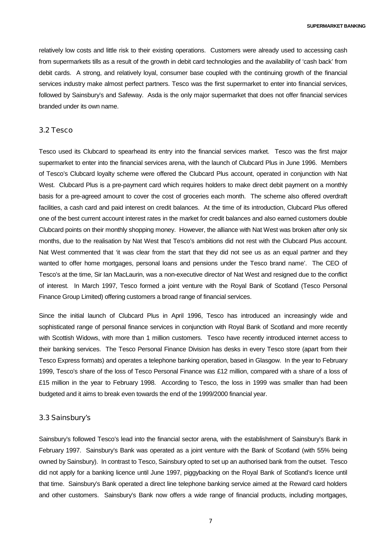<span id="page-6-0"></span>relatively low costs and little risk to their existing operations. Customers were already used to accessing cash from supermarkets tills as a result of the growth in debit card technologies and the availability of 'cash back' from debit cards. A strong, and relatively loyal, consumer base coupled with the continuing growth of the financial services industry make almost perfect partners. Tesco was the first supermarket to enter into financial services, followed by Sainsbury's and Safeway. Asda is the only major supermarket that does not offer financial services branded under its own name.

#### 3.2 Tesco

Tesco used its Clubcard to spearhead its entry into the financial services market. Tesco was the first major supermarket to enter into the financial services arena, with the launch of Clubcard Plus in June 1996. Members of Tesco's Clubcard loyalty scheme were offered the Clubcard Plus account, operated in conjunction with Nat West. Clubcard Plus is a pre-payment card which requires holders to make direct debit payment on a monthly basis for a pre-agreed amount to cover the cost of groceries each month. The scheme also offered overdraft facilities, a cash card and paid interest on credit balances. At the time of its introduction, Clubcard Plus offered one of the best current account interest rates in the market for credit balances and also earned customers double Clubcard points on their monthly shopping money. However, the alliance with Nat West was broken after only six months, due to the realisation by Nat West that Tesco's ambitions did not rest with the Clubcard Plus account. Nat West commented that 'it was clear from the start that they did not see us as an equal partner and they wanted to offer home mortgages, personal loans and pensions under the Tesco brand name'. The CEO of Tesco's at the time, Sir Ian MacLaurin, was a non-executive director of Nat West and resigned due to the conflict of interest. In March 1997, Tesco formed a joint venture with the Royal Bank of Scotland (Tesco Personal Finance Group Limited) offering customers a broad range of financial services.

Since the initial launch of Clubcard Plus in April 1996, Tesco has introduced an increasingly wide and sophisticated range of personal finance services in conjunction with Royal Bank of Scotland and more recently with Scottish Widows, with more than 1 million customers. Tesco have recently introduced internet access to their banking services. The Tesco Personal Finance Division has desks in every Tesco store (apart from their Tesco Express formats) and operates a telephone banking operation, based in Glasgow. In the year to February 1999, Tesco's share of the loss of Tesco Personal Finance was £12 million, compared with a share of a loss of £15 million in the year to February 1998. According to Tesco, the loss in 1999 was smaller than had been budgeted and it aims to break even towards the end of the 1999/2000 financial year.

#### 3.3 Sainsbury's

Sainsbury's followed Tesco's lead into the financial sector arena, with the establishment of Sainsbury's Bank in February 1997. Sainsbury's Bank was operated as a joint venture with the Bank of Scotland (with 55% being owned by Sainsbury). In contrast to Tesco, Sainsbury opted to set up an authorised bank from the outset. Tesco did not apply for a banking licence until June 1997, piggybacking on the Royal Bank of Scotland's licence until that time. Sainsbury's Bank operated a direct line telephone banking service aimed at the Reward card holders and other customers. Sainsbury's Bank now offers a wide range of financial products, including mortgages,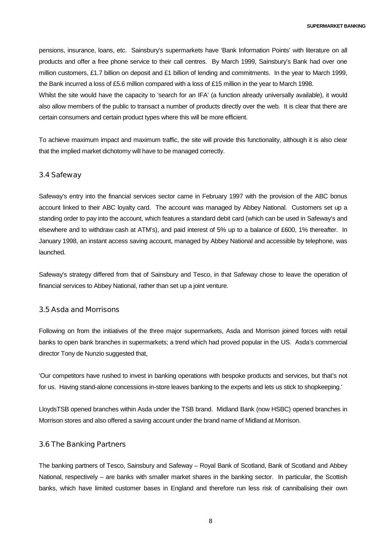<span id="page-7-0"></span>pensions, insurance, loans, etc. Sainsbury's supermarkets have 'Bank Information Points' with literature on all products and offer a free phone service to their call centres. By March 1999, Sainsbury's Bank had over one million customers, £1.7 billion on deposit and £1 billion of lending and commitments. In the year to March 1999, the Bank incurred a loss of £5.6 million compared with a loss of £15 million in the year to March 1998. Whilst the site would have the capacity to 'search for an IFA' (a function already universally available), it would also allow members of the public to transact a number of products directly over the web. It is clear that there are

To achieve maximum impact and maximum traffic, the site will provide this functionality, although it is also clear that the implied market dichotomy will have to be managed correctly.

certain consumers and certain product types where this will be more efficient.

#### 3.4 Safeway

Safeway's entry into the financial services sector came in February 1997 with the provision of the ABC bonus account linked to their ABC loyalty card. The account was managed by Abbey National. Customers set up a standing order to pay into the account, which features a standard debit card (which can be used in Safeway's and elsewhere and to withdraw cash at ATM's), and paid interest of 5% up to a balance of £600, 1% thereafter. In January 1998, an instant access saving account, managed by Abbey National and accessible by telephone, was launched.

Safeway's strategy differed from that of Sainsbury and Tesco, in that Safeway chose to leave the operation of financial services to Abbey National, rather than set up a joint venture.

#### 3.5 Asda and Morrisons

Following on from the initiatives of the three major supermarkets, Asda and Morrison joined forces with retail banks to open bank branches in supermarkets; a trend which had proved popular in the US. Asda's commercial director Tony de Nunzio suggested that,

'Our competitors have rushed to invest in banking operations with bespoke products and services, but that's not for us. Having stand-alone concessions in-store leaves banking to the experts and lets us stick to shopkeeping.'

LloydsTSB opened branches within Asda under the TSB brand. Midland Bank (now HSBC) opened branches in Morrison stores and also offered a saving account under the brand name of Midland at Morrison.

#### 3.6 The Banking Partners

The banking partners of Tesco, Sainsbury and Safeway – Royal Bank of Scotland, Bank of Scotland and Abbey National, respectively – are banks with smaller market shares in the banking sector. In particular, the Scottish banks, which have limited customer bases in England and therefore run less risk of cannibalising their own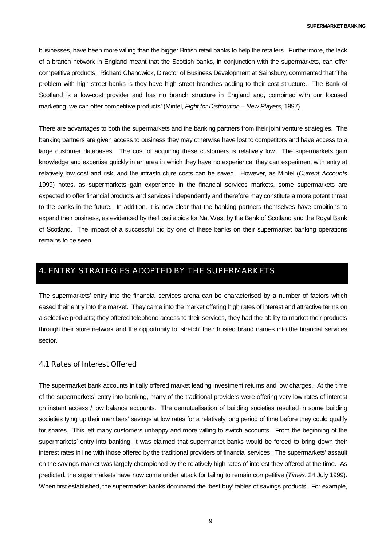<span id="page-8-0"></span>businesses, have been more willing than the bigger British retail banks to help the retailers. Furthermore, the lack of a branch network in England meant that the Scottish banks, in conjunction with the supermarkets, can offer competitive products. Richard Chandwick, Director of Business Development at Sainsbury, commented that 'The problem with high street banks is they have high street branches adding to their cost structure. The Bank of Scotland is a low-cost provider and has no branch structure in England and, combined with our focused marketing, we can offer competitive products' (Mintel, *Fight for Distribution – New Players*, 1997).

There are advantages to both the supermarkets and the banking partners from their joint venture strategies. The banking partners are given access to business they may otherwise have lost to competitors and have access to a large customer databases. The cost of acquiring these customers is relatively low. The supermarkets gain knowledge and expertise quickly in an area in which they have no experience, they can experiment with entry at relatively low cost and risk, and the infrastructure costs can be saved. However, as Mintel (*Current Accounts* 1999) notes, as supermarkets gain experience in the financial services markets, some supermarkets are expected to offer financial products and services independently and therefore may constitute a more potent threat to the banks in the future. In addition, it is now clear that the banking partners themselves have ambitions to expand their business, as evidenced by the hostile bids for Nat West by the Bank of Scotland and the Royal Bank of Scotland. The impact of a successful bid by one of these banks on their supermarket banking operations remains to be seen.

## 4. ENTRY STRATEGIES ADOPTED BY THE SUPERMARKETS

The supermarkets' entry into the financial services arena can be characterised by a number of factors which eased their entry into the market. They came into the market offering high rates of interest and attractive terms on a selective products; they offered telephone access to their services, they had the ability to market their products through their store network and the opportunity to 'stretch' their trusted brand names into the financial services sector.

#### 4.1 Rates of Interest Offered

The supermarket bank accounts initially offered market leading investment returns and low charges. At the time of the supermarkets' entry into banking, many of the traditional providers were offering very low rates of interest on instant access / low balance accounts. The demutualisation of building societies resulted in some building societies tying up their members' savings at low rates for a relatively long period of time before they could qualify for shares. This left many customers unhappy and more willing to switch accounts. From the beginning of the supermarkets' entry into banking, it was claimed that supermarket banks would be forced to bring down their interest rates in line with those offered by the traditional providers of financial services. The supermarkets' assault on the savings market was largely championed by the relatively high rates of interest they offered at the time. As predicted, the supermarkets have now come under attack for failing to remain competitive (*Times*, 24 July 1999). When first established, the supermarket banks dominated the 'best buy' tables of savings products. For example,

9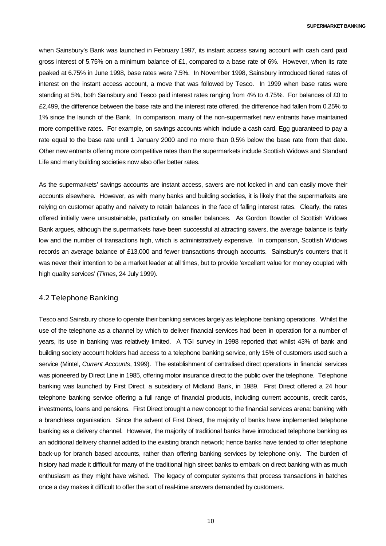<span id="page-9-0"></span>when Sainsbury's Bank was launched in February 1997, its instant access saving account with cash card paid gross interest of 5.75% on a minimum balance of £1, compared to a base rate of 6%. However, when its rate peaked at 6.75% in June 1998, base rates were 7.5%. In November 1998, Sainsbury introduced tiered rates of interest on the instant access account, a move that was followed by Tesco. In 1999 when base rates were standing at 5%, both Sainsbury and Tesco paid interest rates ranging from 4% to 4.75%. For balances of £0 to £2,499, the difference between the base rate and the interest rate offered, the difference had fallen from 0.25% to 1% since the launch of the Bank. In comparison, many of the non-supermarket new entrants have maintained more competitive rates. For example, on savings accounts which include a cash card, Egg guaranteed to pay a rate equal to the base rate until 1 January 2000 and no more than 0.5% below the base rate from that date. Other new entrants offering more competitive rates than the supermarkets include Scottish Widows and Standard Life and many building societies now also offer better rates.

As the supermarkets' savings accounts are instant access, savers are not locked in and can easily move their accounts elsewhere. However, as with many banks and building societies, it is likely that the supermarkets are relying on customer apathy and naivety to retain balances in the face of falling interest rates. Clearly, the rates offered initially were unsustainable, particularly on smaller balances. As Gordon Bowder of Scottish Widows Bank argues, although the supermarkets have been successful at attracting savers, the average balance is fairly low and the number of transactions high, which is administratively expensive. In comparison, Scottish Widows records an average balance of £13,000 and fewer transactions through accounts. Sainsbury's counters that it was never their intention to be a market leader at all times, but to provide 'excellent value for money coupled with high quality services' (*Times*, 24 July 1999).

#### 4.2 Telephone Banking

Tesco and Sainsbury chose to operate their banking services largely as telephone banking operations. Whilst the use of the telephone as a channel by which to deliver financial services had been in operation for a number of years, its use in banking was relatively limited. A TGI survey in 1998 reported that whilst 43% of bank and building society account holders had access to a telephone banking service, only 15% of customers used such a service (Mintel, *Current Accounts*, 1999). The establishment of centralised direct operations in financial services was pioneered by Direct Line in 1985, offering motor insurance direct to the public over the telephone. Telephone banking was launched by First Direct, a subsidiary of Midland Bank, in 1989. First Direct offered a 24 hour telephone banking service offering a full range of financial products, including current accounts, credit cards, investments, loans and pensions. First Direct brought a new concept to the financial services arena: banking with a branchless organisation. Since the advent of First Direct, the majority of banks have implemented telephone banking as a delivery channel. However, the majority of traditional banks have introduced telephone banking as an additional delivery channel added to the existing branch network; hence banks have tended to offer telephone back-up for branch based accounts, rather than offering banking services by telephone only. The burden of history had made it difficult for many of the traditional high street banks to embark on direct banking with as much enthusiasm as they might have wished. The legacy of computer systems that process transactions in batches once a day makes it difficult to offer the sort of real-time answers demanded by customers.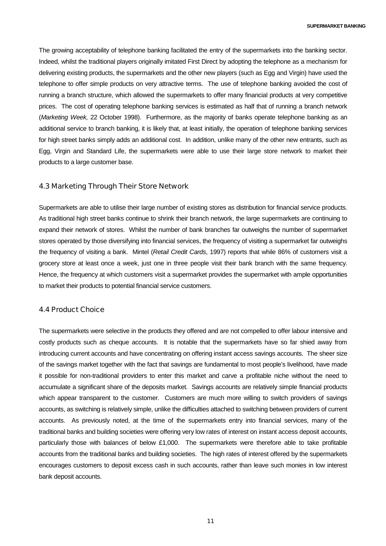<span id="page-10-0"></span>The growing acceptability of telephone banking facilitated the entry of the supermarkets into the banking sector. Indeed, whilst the traditional players originally imitated First Direct by adopting the telephone as a mechanism for delivering existing products, the supermarkets and the other new players (such as Egg and Virgin) have used the telephone to offer simple products on very attractive terms. The use of telephone banking avoided the cost of running a branch structure, which allowed the supermarkets to offer many financial products at very competitive prices. The cost of operating telephone banking services is estimated as half that of running a branch network (*Marketing Week,* 22 October 1998). Furthermore, as the majority of banks operate telephone banking as an additional service to branch banking, it is likely that, at least initially, the operation of telephone banking services for high street banks simply adds an additional cost. In addition, unlike many of the other new entrants, such as Egg, Virgin and Standard Life, the supermarkets were able to use their large store network to market their products to a large customer base.

#### 4.3 Marketing Through Their Store Network

Supermarkets are able to utilise their large number of existing stores as distribution for financial service products. As traditional high street banks continue to shrink their branch network, the large supermarkets are continuing to expand their network of stores. Whilst the number of bank branches far outweighs the number of supermarket stores operated by those diversifying into financial services, the frequency of visiting a supermarket far outweighs the frequency of visiting a bank. Mintel (*Retail Credit Cards*, 1997) reports that while 86% of customers visit a grocery store at least once a week, just one in three people visit their bank branch with the same frequency. Hence, the frequency at which customers visit a supermarket provides the supermarket with ample opportunities to market their products to potential financial service customers.

#### 4.4 Product Choice

The supermarkets were selective in the products they offered and are not compelled to offer labour intensive and costly products such as cheque accounts. It is notable that the supermarkets have so far shied away from introducing current accounts and have concentrating on offering instant access savings accounts. The sheer size of the savings market together with the fact that savings are fundamental to most people's livelihood, have made it possible for non-traditional providers to enter this market and carve a profitable niche without the need to accumulate a significant share of the deposits market. Savings accounts are relatively simple financial products which appear transparent to the customer. Customers are much more willing to switch providers of savings accounts, as switching is relatively simple, unlike the difficulties attached to switching between providers of current accounts. As previously noted, at the time of the supermarkets entry into financial services, many of the traditional banks and building societies were offering very low rates of interest on instant access deposit accounts, particularly those with balances of below £1,000. The supermarkets were therefore able to take profitable accounts from the traditional banks and building societies. The high rates of interest offered by the supermarkets encourages customers to deposit excess cash in such accounts, rather than leave such monies in low interest bank deposit accounts.

11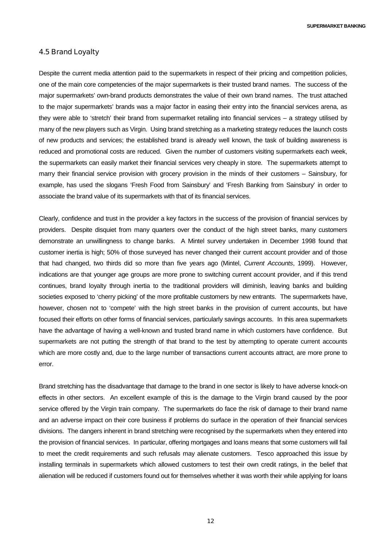**SUPERMARKET BANKING**

#### <span id="page-11-0"></span>4.5 Brand Loyalty

Despite the current media attention paid to the supermarkets in respect of their pricing and competition policies, one of the main core competencies of the major supermarkets is their trusted brand names. The success of the major supermarkets' own-brand products demonstrates the value of their own brand names. The trust attached to the major supermarkets' brands was a major factor in easing their entry into the financial services arena, as they were able to 'stretch' their brand from supermarket retailing into financial services – a strategy utilised by many of the new players such as Virgin. Using brand stretching as a marketing strategy reduces the launch costs of new products and services; the established brand is already well known, the task of building awareness is reduced and promotional costs are reduced. Given the number of customers visiting supermarkets each week, the supermarkets can easily market their financial services very cheaply in store. The supermarkets attempt to marry their financial service provision with grocery provision in the minds of their customers – Sainsbury, for example, has used the slogans 'Fresh Food from Sainsbury' and 'Fresh Banking from Sainsbury' in order to associate the brand value of its supermarkets with that of its financial services.

Clearly, confidence and trust in the provider a key factors in the success of the provision of financial services by providers. Despite disquiet from many quarters over the conduct of the high street banks, many customers demonstrate an unwillingness to change banks. A Mintel survey undertaken in December 1998 found that customer inertia is high; 50% of those surveyed has never changed their current account provider and of those that had changed, two thirds did so more than five years ago (Mintel, *Current Accounts*, 1999). However, indications are that younger age groups are more prone to switching current account provider, and if this trend continues, brand loyalty through inertia to the traditional providers will diminish, leaving banks and building societies exposed to 'cherry picking' of the more profitable customers by new entrants. The supermarkets have, however, chosen not to 'compete' with the high street banks in the provision of current accounts, but have focused their efforts on other forms of financial services, particularly savings accounts. In this area supermarkets have the advantage of having a well-known and trusted brand name in which customers have confidence. But supermarkets are not putting the strength of that brand to the test by attempting to operate current accounts which are more costly and, due to the large number of transactions current accounts attract, are more prone to error.

Brand stretching has the disadvantage that damage to the brand in one sector is likely to have adverse knock-on effects in other sectors. An excellent example of this is the damage to the Virgin brand caused by the poor service offered by the Virgin train company. The supermarkets do face the risk of damage to their brand name and an adverse impact on their core business if problems do surface in the operation of their financial services divisions. The dangers inherent in brand stretching were recognised by the supermarkets when they entered into the provision of financial services. In particular, offering mortgages and loans means that some customers will fail to meet the credit requirements and such refusals may alienate customers. Tesco approached this issue by installing terminals in supermarkets which allowed customers to test their own credit ratings, in the belief that alienation will be reduced if customers found out for themselves whether it was worth their while applying for loans